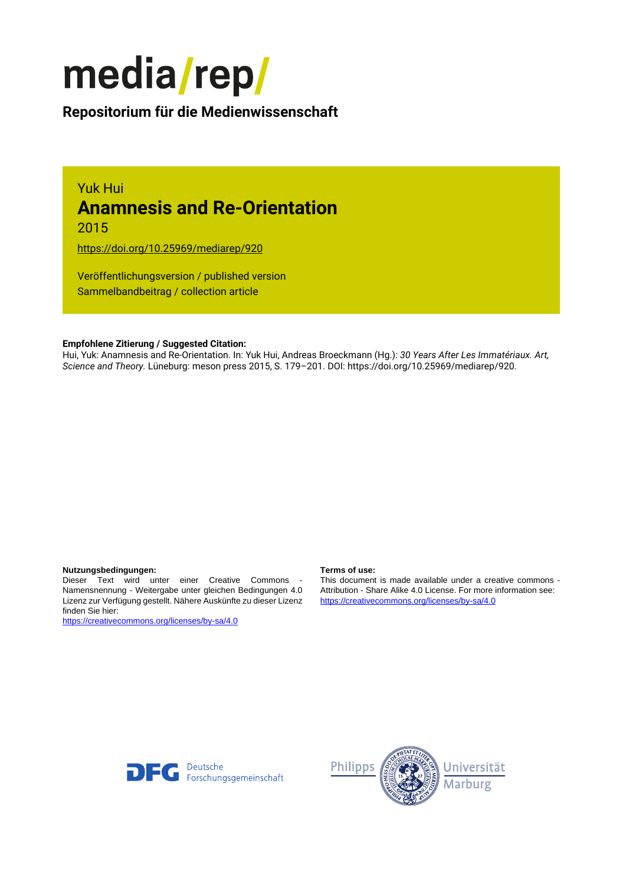

## **Repositorium für die [Medienwissenschaft](https://mediarep.org)**

# Yuk Hui **Anamnesis and Re-Orientation**

2015

<https://doi.org/10.25969/mediarep/920>

Veröffentlichungsversion / published version Sammelbandbeitrag / collection article

#### **Empfohlene Zitierung / Suggested Citation:**

Hui, Yuk: Anamnesis and Re-Orientation. In: Yuk Hui, Andreas Broeckmann (Hg.): *30 Years After Les Immatériaux. Art, Science and Theory.* Lüneburg: meson press 2015, S. 179–201. DOI: https://doi.org/10.25969/mediarep/920.

#### **Nutzungsbedingungen: Terms of use:**

Dieser Text wird unter einer Creative Commons - Namensnennung - Weitergabe unter gleichen Bedingungen 4.0 Lizenz zur Verfügung gestellt. Nähere Auskünfte zu dieser Lizenz finden Sie hier:

<https://creativecommons.org/licenses/by-sa/4.0>

This document is made available under a creative commons - Attribution - Share Alike 4.0 License. For more information see: <https://creativecommons.org/licenses/by-sa/4.0>



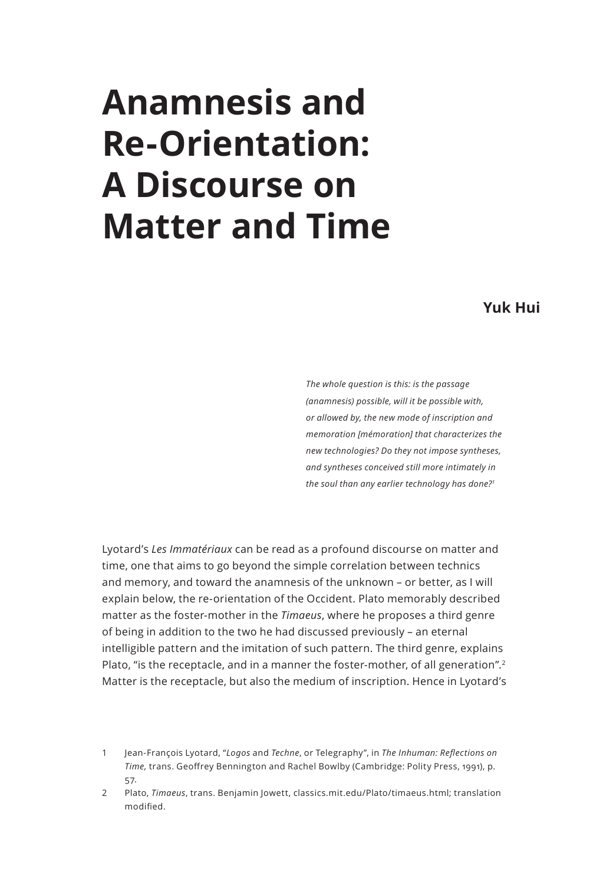# **Anamnesis and Re-Orientation: A Discourse on Matter and Time**

#### **Yuk Hui**

*The whole question is this: is the passage (anamnesis) possible, will it be possible with, or allowed by, the new mode of inscription and memoration [mémoration] that characterizes the new technologies? Do they not impose syntheses, and syntheses conceived still more intimately in the soul than any earlier technology has done?<sup>1</sup>*

Lyotard's *Les Immatériaux* can be read as a profound discourse on matter and time, one that aims to go beyond the simple correlation between technics and memory, and toward the anamnesis of the unknown – or better, as I will explain below, the re-orientation of the Occident. Plato memorably described matter as the foster-mother in the *Timaeus*, where he proposes a third genre of being in addition to the two he had discussed previously – an eternal intelligible pattern and the imitation of such pattern. The third genre, explains Plato, "is the receptacle, and in a manner the foster-mother, of all generation".<sup>2</sup> Matter is the receptacle, but also the medium of inscription. Hence in Lyotard's

1 Jean-François Lyotard, "*Logos* and *Techne*, or Telegraphy ", in *The Inhuman: Reflections on Time,* trans. Geoffrey Bennington and Rachel Bowlby (Cambridge: Polity Press, 1991), p. 57.

2 Plato, *Timaeus*, trans. Benjamin Jowett, classics.mit.edu/Plato/timaeus.html; translation modified.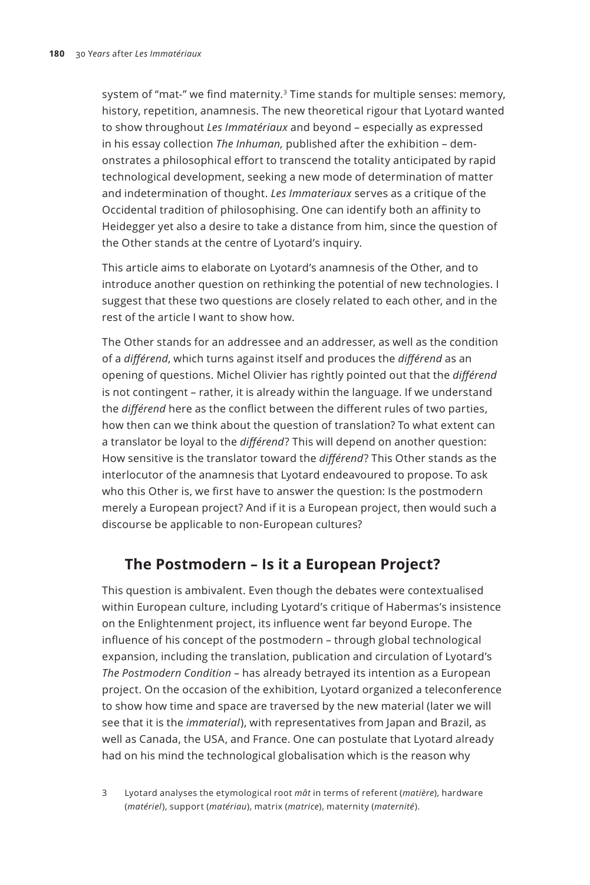system of "mat-" we find maternity.<sup>3</sup> Time stands for multiple senses: memory, history, repetition, anamnesis. The new theoretical rigour that Lyotard wanted to show throughout *Les Immatériaux* and beyond – especially as expressed in his essay collection *The Inhuman,* published after the exhibition – demonstrates a philosophical effort to transcend the totality anticipated by rapid technological development, seeking a new mode of determination of matter and indetermination of thought. *Les Immateriaux* serves as a critique of the Occidental tradition of philosophising. One can identify both an affinity to Heidegger yet also a desire to take a distance from him, since the question of the Other stands at the centre of Lyotard's inquiry.

This article aims to elaborate on Lyotard's anamnesis of the Other, and to introduce another question on rethinking the potential of new technologies. I suggest that these two questions are closely related to each other, and in the rest of the article I want to show how.

The Other stands for an addressee and an addresser, as well as the condition of a *différend*, which turns against itself and produces the *différend* as an opening of questions. Michel Olivier has rightly pointed out that the *différend* is not contingent – rather, it is already within the language. If we understand the *différend* here as the conflict between the different rules of two parties, how then can we think about the question of translation? To what extent can a translator be loyal to the *différend*? This will depend on another question: How sensitive is the translator toward the *différend*? This Other stands as the interlocutor of the anamnesis that Lyotard endeavoured to propose. To ask who this Other is, we first have to answer the question: Is the postmodern merely a European project? And if it is a European project, then would such a discourse be applicable to non-European cultures?

#### **The Postmodern – Is it a European Project?**

This question is ambivalent. Even though the debates were contextualised within European culture, including Lyotard's critique of Habermas's insistence on the Enlightenment project, its influence went far beyond Europe. The influence of his concept of the postmodern – through global technological expansion, including the translation, publication and circulation of Lyotard's *The Postmodern Condition* – has already betrayed its intention as a European project. On the occasion of the exhibition, Lyotard organized a teleconference to show how time and space are traversed by the new material (later we will see that it is the *immaterial*), with representatives from Japan and Brazil, as well as Canada, the USA, and France. One can postulate that Lyotard already had on his mind the technological globalisation which is the reason why

3 Lyotard analyses the etymological root *mât* in terms of referent (*matière*), hardware (*matériel*), support (*matériau*), matrix (*matrice*), maternity (*maternité*).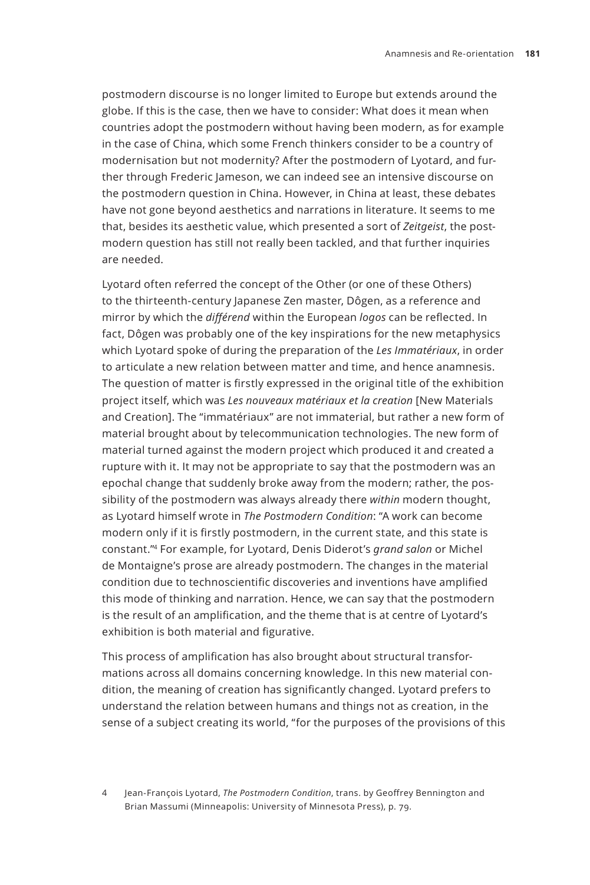postmodern discourse is no longer limited to Europe but extends around the globe. If this is the case, then we have to consider: What does it mean when countries adopt the postmodern without having been modern, as for example in the case of China, which some French thinkers consider to be a country of modernisation but not modernity? After the postmodern of Lyotard, and further through Frederic Jameson, we can indeed see an intensive discourse on the postmodern question in China. However, in China at least, these debates have not gone beyond aesthetics and narrations in literature. It seems to me that, besides its aesthetic value, which presented a sort of *Zeitgeist*, the postmodern question has still not really been tackled, and that further inquiries are needed.

Lyotard often referred the concept of the Other (or one of these Others) to the thirteenth-century Japanese Zen master, Dôgen, as a reference and mirror by which the *différend* within the European *logos* can be reflected. In fact, Dôgen was probably one of the key inspirations for the new metaphysics which Lyotard spoke of during the preparation of the *Les Immatériaux*, in order to articulate a new relation between matter and time, and hence anamnesis. The question of matter is firstly expressed in the original title of the exhibition project itself, which was *Les nouveaux matériaux et la creation* [New Materials and Creation]. The "immatériaux" are not immaterial, but rather a new form of material brought about by telecommunication technologies. The new form of material turned against the modern project which produced it and created a rupture with it. It may not be appropriate to say that the postmodern was an epochal change that suddenly broke away from the modern; rather, the possibility of the postmodern was always already there *within* modern thought, as Lyotard himself wrote in *The Postmodern Condition*: "A work can become modern only if it is firstly postmodern, in the current state, and this state is constant."<sup>4</sup> For example, for Lyotard, Denis Diderot's *grand salon* or Michel de Montaigne's prose are already postmodern. The changes in the material condition due to technoscientific discoveries and inventions have amplified this mode of thinking and narration. Hence, we can say that the postmodern is the result of an amplification, and the theme that is at centre of Lyotard's exhibition is both material and figurative.

This process of amplification has also brought about structural transformations across all domains concerning knowledge. In this new material condition, the meaning of creation has significantly changed. Lyotard prefers to understand the relation between humans and things not as creation, in the sense of a subject creating its world, "for the purposes of the provisions of this

4 Jean-François Lyotard, *The Postmodern Condition*, trans. by Geoffrey Bennington and Brian Massumi (Minneapolis: University of Minnesota Press), p. 79.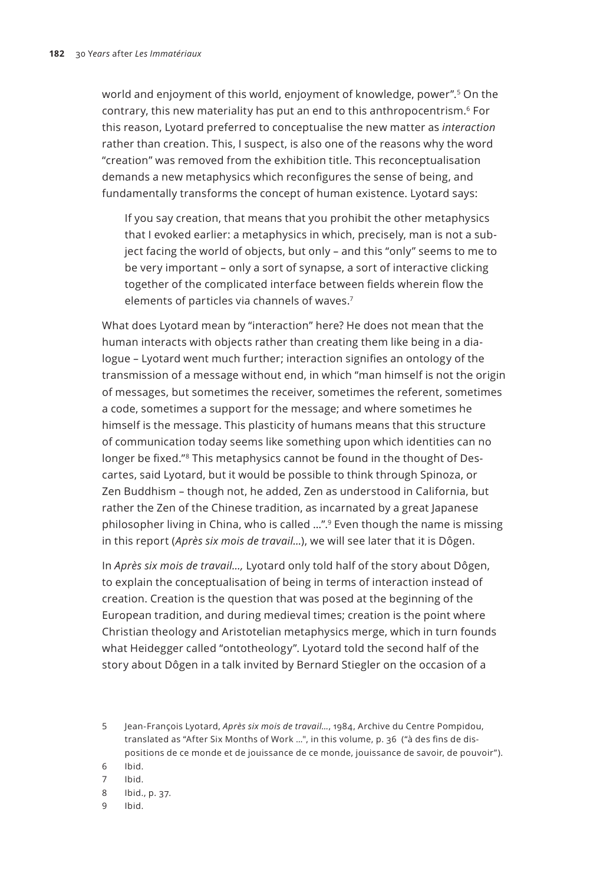world and enjoyment of this world, enjoyment of knowledge, power".5 On the contrary, this new materiality has put an end to this anthropocentrism.<sup>6</sup> For this reason, Lyotard preferred to conceptualise the new matter as *interaction*  rather than creation. This, I suspect, is also one of the reasons why the word "creation" was removed from the exhibition title. This reconceptualisation demands a new metaphysics which reconfigures the sense of being, and fundamentally transforms the concept of human existence. Lyotard says:

If you say creation, that means that you prohibit the other metaphysics that I evoked earlier: a metaphysics in which, precisely, man is not a subject facing the world of objects, but only – and this "only" seems to me to be very important – only a sort of synapse, a sort of interactive clicking together of the complicated interface between fields wherein flow the elements of particles via channels of waves.7

What does Lyotard mean by "interaction" here? He does not mean that the human interacts with objects rather than creating them like being in a dialogue – Lyotard went much further; interaction signifies an ontology of the transmission of a message without end, in which "man himself is not the origin of messages, but sometimes the receiver, sometimes the referent, sometimes a code, sometimes a support for the message; and where sometimes he himself is the message. This plasticity of humans means that this structure of communication today seems like something upon which identities can no longer be fixed."<sup>8</sup> This metaphysics cannot be found in the thought of Descartes, said Lyotard, but it would be possible to think through Spinoza, or Zen Buddhism – though not, he added, Zen as understood in California, but rather the Zen of the Chinese tradition, as incarnated by a great Japanese philosopher living in China, who is called ...".<sup>9</sup> Even though the name is missing in this report (*Après six mois de travail…*), we will see later that it is Dôgen.

In *Après six mois de travail…,* Lyotard only told half of the story about Dôgen, to explain the conceptualisation of being in terms of interaction instead of creation. Creation is the question that was posed at the beginning of the European tradition, and during medieval times; creation is the point where Christian theology and Aristotelian metaphysics merge, which in turn founds what Heidegger called "ontotheology". Lyotard told the second half of the story about Dôgen in a talk invited by Bernard Stiegler on the occasion of a

9 Ibid.

<sup>5</sup> Jean-François Lyotard, *Après six mois de travail…*, 1984, Archive du Centre Pompidou, translated as "After Six Months of Work …", in this volume, p. 36 ("à des fins de dispositions de ce monde et de jouissance de ce monde, jouissance de savoir, de pouvoir").

<sup>6</sup> Ibid.

<sup>7</sup> Ibid.

<sup>8</sup> Ibid., p. 37.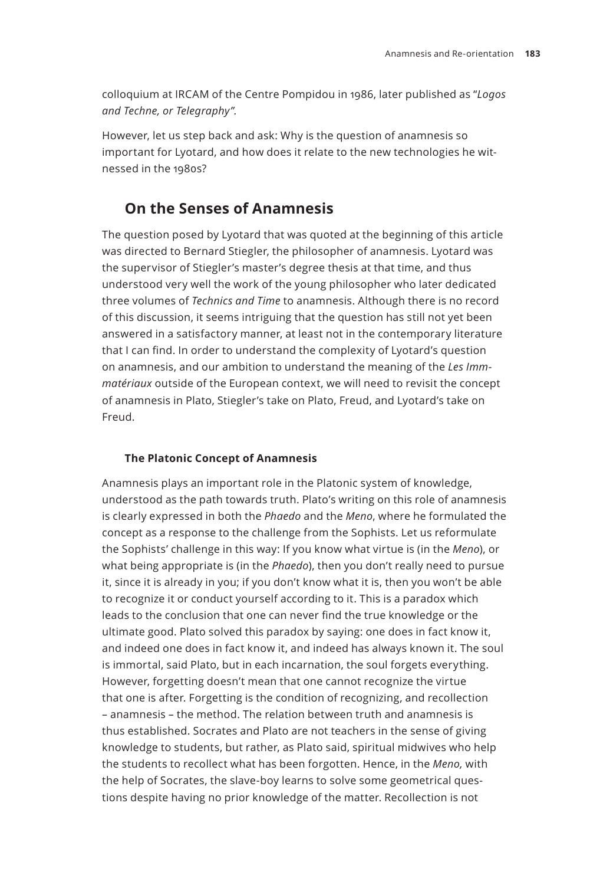colloquium at IRCAM of the Centre Pompidou in 1986, later published as "*Logos and Techne, or Telegraphy".*

However, let us step back and ask: Why is the question of anamnesis so important for Lyotard, and how does it relate to the new technologies he witnessed in the 1980s?

#### **On the Senses of Anamnesis**

The question posed by Lyotard that was quoted at the beginning of this article was directed to Bernard Stiegler, the philosopher of anamnesis. Lyotard was the supervisor of Stiegler's master's degree thesis at that time, and thus understood very well the work of the young philosopher who later dedicated three volumes of *Technics and Time* to anamnesis. Although there is no record of this discussion, it seems intriguing that the question has still not yet been answered in a satisfactory manner, at least not in the contemporary literature that I can find. In order to understand the complexity of Lyotard's question on anamnesis, and our ambition to understand the meaning of the *Les Immmatériaux* outside of the European context, we will need to revisit the concept of anamnesis in Plato, Stiegler's take on Plato, Freud, and Lyotard's take on Freud.

#### **The Platonic Concept of Anamnesis**

Anamnesis plays an important role in the Platonic system of knowledge, understood as the path towards truth. Plato's writing on this role of anamnesis is clearly expressed in both the *Phaedo* and the *Meno*, where he formulated the concept as a response to the challenge from the Sophists. Let us reformulate the Sophists' challenge in this way: If you know what virtue is (in the *Meno*), or what being appropriate is (in the *Phaedo*), then you don't really need to pursue it, since it is already in you; if you don't know what it is, then you won't be able to recognize it or conduct yourself according to it. This is a paradox which leads to the conclusion that one can never find the true knowledge or the ultimate good. Plato solved this paradox by saying: one does in fact know it, and indeed one does in fact know it, and indeed has always known it. The soul is immortal, said Plato, but in each incarnation, the soul forgets everything. However, forgetting doesn't mean that one cannot recognize the virtue that one is after. Forgetting is the condition of recognizing, and recollection – anamnesis – the method. The relation between truth and anamnesis is thus established. Socrates and Plato are not teachers in the sense of giving knowledge to students, but rather, as Plato said, spiritual midwives who help the students to recollect what has been forgotten. Hence, in the *Meno,* with the help of Socrates, the slave-boy learns to solve some geometrical questions despite having no prior knowledge of the matter. Recollection is not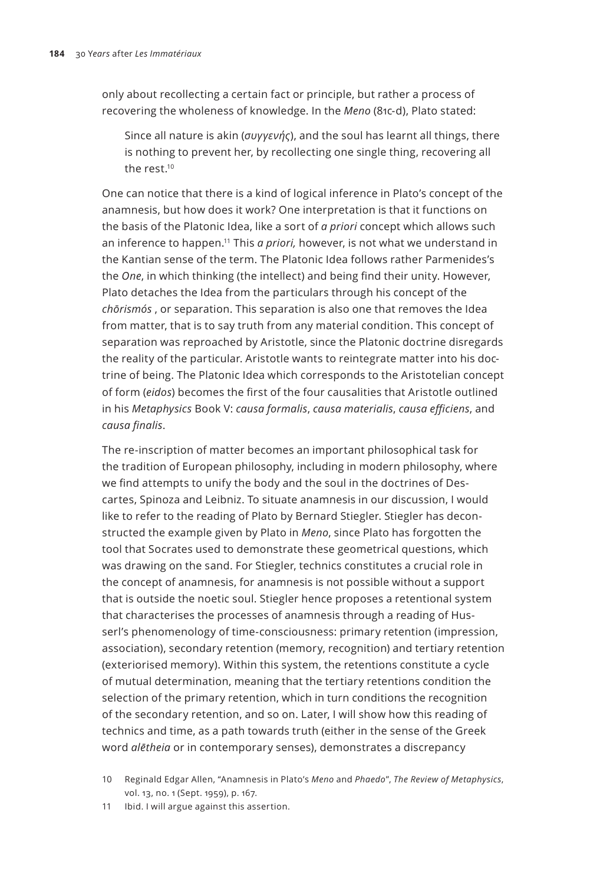only about recollecting a certain fact or principle, but rather a process of recovering the wholeness of knowledge. In the *Meno* (81c-d), Plato stated:

Since all nature is akin (*συγγενής*), and the soul has learnt all things, there is nothing to prevent her, by recollecting one single thing, recovering all the rest.10

One can notice that there is a kind of logical inference in Plato's concept of the anamnesis, but how does it work? One interpretation is that it functions on the basis of the Platonic Idea, like a sort of *a priori* concept which allows such an inference to happen.11 This *a priori,* however, is not what we understand in the Kantian sense of the term. The Platonic Idea follows rather Parmenides's the *One*, in which thinking (the intellect) and being find their unity. However, Plato detaches the Idea from the particulars through his concept of the *chōrismós* , or separation. This separation is also one that removes the Idea from matter, that is to say truth from any material condition. This concept of separation was reproached by Aristotle, since the Platonic doctrine disregards the reality of the particular. Aristotle wants to reintegrate matter into his doctrine of being. The Platonic Idea which corresponds to the Aristotelian concept of form (*eidos*) becomes the first of the four causalities that Aristotle outlined in his *Metaphysics* Book V: *causa formalis*, *causa materialis*, *causa efficiens*, and *causa finalis*.

The re-inscription of matter becomes an important philosophical task for the tradition of European philosophy, including in modern philosophy, where we find attempts to unify the body and the soul in the doctrines of Descartes, Spinoza and Leibniz. To situate anamnesis in our discussion, I would like to refer to the reading of Plato by Bernard Stiegler. Stiegler has deconstructed the example given by Plato in *Meno*, since Plato has forgotten the tool that Socrates used to demonstrate these geometrical questions, which was drawing on the sand. For Stiegler, technics constitutes a crucial role in the concept of anamnesis, for anamnesis is not possible without a support that is outside the noetic soul. Stiegler hence proposes a retentional system that characterises the processes of anamnesis through a reading of Husserl's phenomenology of time-consciousness: primary retention (impression, association), secondary retention (memory, recognition) and tertiary retention (exteriorised memory). Within this system, the retentions constitute a cycle of mutual determination, meaning that the tertiary retentions condition the selection of the primary retention, which in turn conditions the recognition of the secondary retention, and so on. Later, I will show how this reading of technics and time, as a path towards truth (either in the sense of the Greek word *alētheia* or in contemporary senses), demonstrates a discrepancy

11 Ibid. I will argue against this assertion.

<sup>10</sup> Reginald Edgar Allen, "Anamnesis in Plato's *Meno* and *Phaedo*", *The Review of Metaphysics*, vol. 13, no. 1 (Sept. 1959), p. 167.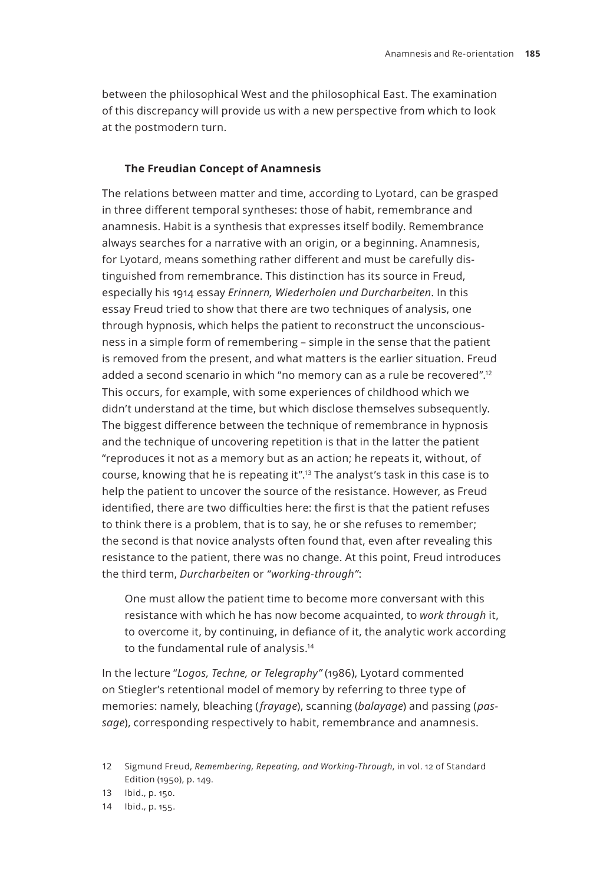between the philosophical West and the philosophical East. The examination of this discrepancy will provide us with a new perspective from which to look at the postmodern turn.

#### **The Freudian Concept of Anamnesis**

The relations between matter and time, according to Lyotard, can be grasped in three different temporal syntheses: those of habit, remembrance and anamnesis. Habit is a synthesis that expresses itself bodily. Remembrance always searches for a narrative with an origin, or a beginning. Anamnesis, for Lyotard, means something rather different and must be carefully distinguished from remembrance. This distinction has its source in Freud, especially his 1914 essay *Erinnern, Wiederholen und Durcharbeiten*. In this essay Freud tried to show that there are two techniques of analysis, one through hypnosis, which helps the patient to reconstruct the unconsciousness in a simple form of remembering – simple in the sense that the patient is removed from the present, and what matters is the earlier situation. Freud added a second scenario in which "no memory can as a rule be recovered".12 This occurs, for example, with some experiences of childhood which we didn't understand at the time, but which disclose themselves subsequently. The biggest difference between the technique of remembrance in hypnosis and the technique of uncovering repetition is that in the latter the patient "reproduces it not as a memory but as an action; he repeats it, without, of course, knowing that he is repeating it".13 The analyst's task in this case is to help the patient to uncover the source of the resistance. However, as Freud identified, there are two difficulties here: the first is that the patient refuses to think there is a problem, that is to say, he or she refuses to remember; the second is that novice analysts often found that, even after revealing this resistance to the patient, there was no change. At this point, Freud introduces the third term, *Durcharbeiten* or *"working-through"*:

One must allow the patient time to become more conversant with this resistance with which he has now become acquainted, to *work through* it, to overcome it, by continuing, in defiance of it, the analytic work according to the fundamental rule of analysis.14

In the lecture "*Logos, Techne, or Telegraphy"* (1986), Lyotard commented on Stiegler's retentional model of memory by referring to three type of memories: namely, bleaching (*frayage*), scanning (*balayage*) and passing (*passage*), corresponding respectively to habit, remembrance and anamnesis.

<sup>12</sup> Sigmund Freud, *Remembering, Repeating, and Working-Through*, in vol. 12 of Standard Edition (1950), p. 149.

<sup>13</sup> Ibid., p. 150.

<sup>14</sup> Ibid., p. 155.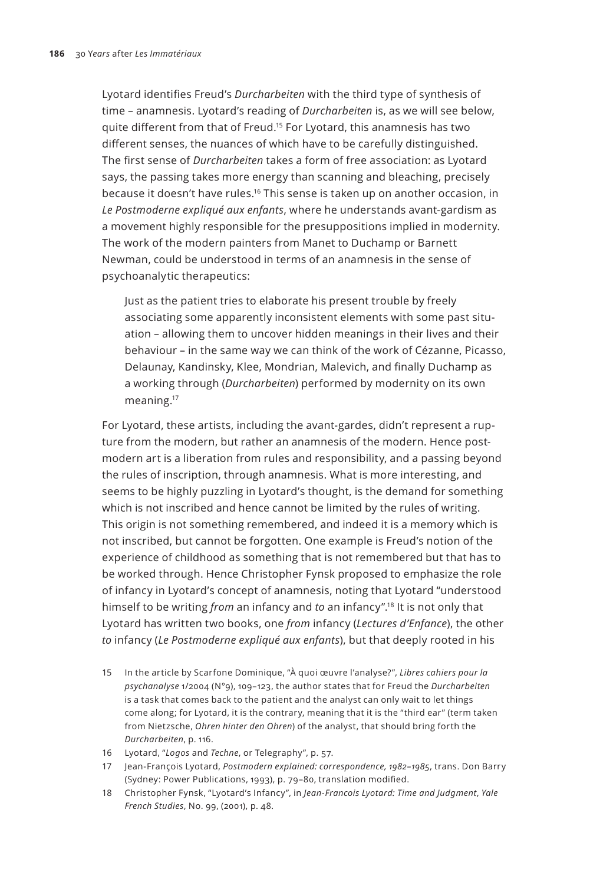Lyotard identifies Freud's *Durcharbeiten* with the third type of synthesis of time – anamnesis. Lyotard's reading of *Durcharbeiten* is, as we will see below, quite different from that of Freud.15 For Lyotard, this anamnesis has two different senses, the nuances of which have to be carefully distinguished. The first sense of *Durcharbeiten* takes a form of free association: as Lyotard says, the passing takes more energy than scanning and bleaching, precisely because it doesn't have rules.16 This sense is taken up on another occasion, in *Le Postmoderne expliqué aux enfants*, where he understands avant-gardism as a movement highly responsible for the presuppositions implied in modernity. The work of the modern painters from Manet to Duchamp or Barnett Newman, could be understood in terms of an anamnesis in the sense of psychoanalytic therapeutics:

Just as the patient tries to elaborate his present trouble by freely associating some apparently inconsistent elements with some past situation – allowing them to uncover hidden meanings in their lives and their behaviour – in the same way we can think of the work of Cézanne, Picasso, Delaunay, Kandinsky, Klee, Mondrian, Malevich, and finally Duchamp as a working through (*Durcharbeiten*) performed by modernity on its own meaning.17

For Lyotard, these artists, including the avant-gardes, didn't represent a rupture from the modern, but rather an anamnesis of the modern. Hence postmodern art is a liberation from rules and responsibility, and a passing beyond the rules of inscription, through anamnesis. What is more interesting, and seems to be highly puzzling in Lyotard's thought, is the demand for something which is not inscribed and hence cannot be limited by the rules of writing. This origin is not something remembered, and indeed it is a memory which is not inscribed, but cannot be forgotten. One example is Freud's notion of the experience of childhood as something that is not remembered but that has to be worked through. Hence Christopher Fynsk proposed to emphasize the role of infancy in Lyotard's concept of anamnesis, noting that Lyotard "understood himself to be writing *from* an infancy and *to* an infancy".18 It is not only that Lyotard has written two books, one *from* infancy (*Lectures d'Enfance*), the other *to* infancy (*Le Postmoderne expliqué aux enfants*), but that deeply rooted in his

- 15 In the article by Scarfone Dominique, "À quoi œuvre l'analyse? ", *Libres cahiers pour la psychanalyse* 1/2004 (N°9), 109–123, the author states that for Freud the *Durcharbeiten* is a task that comes back to the patient and the analyst can only wait to let things come along; for Lyotard, it is the contrary, meaning that it is the "third ear" (term taken from Nietzsche, *Ohren hinter den Ohren*) of the analyst, that should bring forth the *Durcharbeiten*, p. 116.
- 16 Lyotard, "*Logos* and *Techne*, or Telegraphy ", p. 57.
- 17 Jean-François Lyotard, *Postmodern explained: correspondence, 1982–1985*, trans. Don Barry (Sydney: Power Publications, 1993), p. 79–80, translation modified.
- 18 Christopher Fynsk, "Lyotard's Infancy", in *Jean-Francois Lyotard: Time and Judgment*, *Yale French Studies*, No. 99, (2001), p. 48.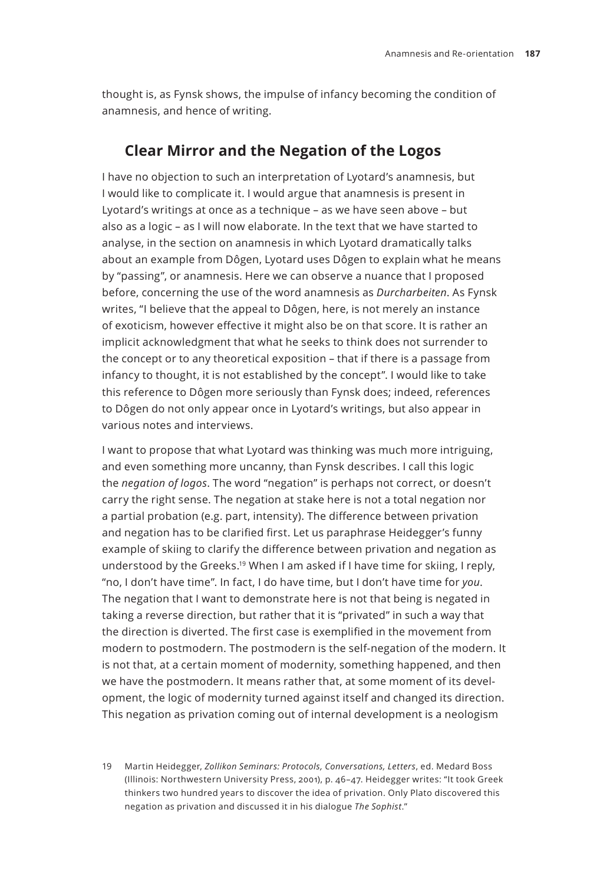thought is, as Fynsk shows, the impulse of infancy becoming the condition of anamnesis, and hence of writing.

#### **Clear Mirror and the Negation of the Logos**

I have no objection to such an interpretation of Lyotard's anamnesis, but I would like to complicate it. I would argue that anamnesis is present in Lyotard's writings at once as a technique – as we have seen above – but also as a logic – as I will now elaborate. In the text that we have started to analyse, in the section on anamnesis in which Lyotard dramatically talks about an example from Dôgen, Lyotard uses Dôgen to explain what he means by "passing", or anamnesis. Here we can observe a nuance that I proposed before, concerning the use of the word anamnesis as *Durcharbeiten*. As Fynsk writes, "I believe that the appeal to Dôgen, here, is not merely an instance of exoticism, however effective it might also be on that score. It is rather an implicit acknowledgment that what he seeks to think does not surrender to the concept or to any theoretical exposition – that if there is a passage from infancy to thought, it is not established by the concept". I would like to take this reference to Dôgen more seriously than Fynsk does; indeed, references to Dôgen do not only appear once in Lyotard's writings, but also appear in various notes and interviews.

I want to propose that what Lyotard was thinking was much more intriguing, and even something more uncanny, than Fynsk describes. I call this logic the *negation of logos*. The word "negation" is perhaps not correct, or doesn't carry the right sense. The negation at stake here is not a total negation nor a partial probation (e.g. part, intensity). The difference between privation and negation has to be clarified first. Let us paraphrase Heidegger's funny example of skiing to clarify the difference between privation and negation as understood by the Greeks.<sup>19</sup> When I am asked if I have time for skiing, I reply, "no, I don't have time". In fact, I do have time, but I don't have time for *you*. The negation that I want to demonstrate here is not that being is negated in taking a reverse direction, but rather that it is "privated" in such a way that the direction is diverted. The first case is exemplified in the movement from modern to postmodern. The postmodern is the self-negation of the modern. It is not that, at a certain moment of modernity, something happened, and then we have the postmodern. It means rather that, at some moment of its development, the logic of modernity turned against itself and changed its direction. This negation as privation coming out of internal development is a neologism

19 Martin Heidegger, *Zollikon Seminars: Protocols, Conversations, Letters*, ed. Medard Boss (Illinois: Northwestern University Press, 2001), p. 46–47. Heidegger writes: "It took Greek thinkers two hundred years to discover the idea of privation. Only Plato discovered this negation as privation and discussed it in his dialogue *The Sophist*."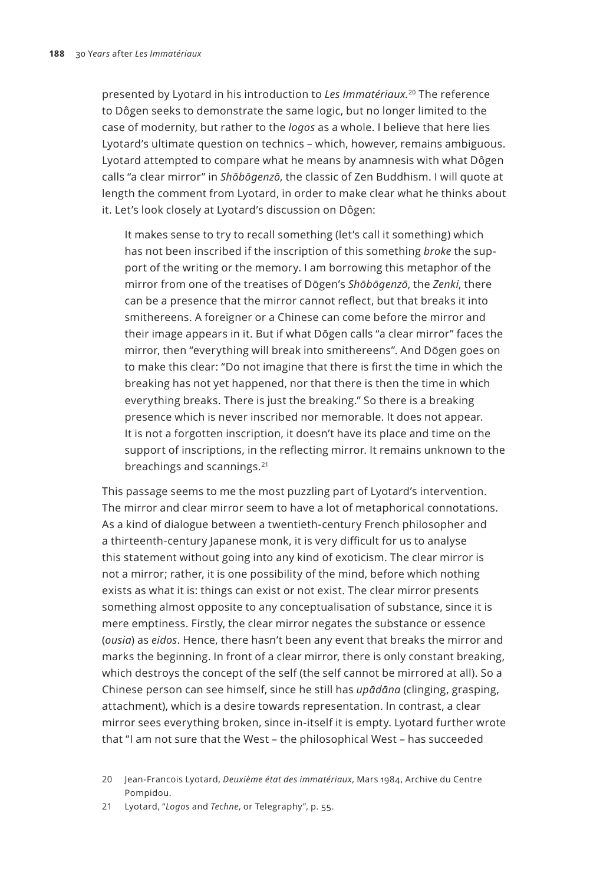presented by Lyotard in his introduction to *Les Immatériaux.*<sup>20</sup> The reference to Dôgen seeks to demonstrate the same logic, but no longer limited to the case of modernity, but rather to the *logos* as a whole. I believe that here lies Lyotard's ultimate question on technics – which, however, remains ambiguous. Lyotard attempted to compare what he means by anamnesis with what Dôgen calls "a clear mirror" in *Shōbōgenzō*, the classic of Zen Buddhism. I will quote at length the comment from Lyotard, in order to make clear what he thinks about it. Let's look closely at Lyotard's discussion on Dôgen:

It makes sense to try to recall something (let's call it something) which has not been inscribed if the inscription of this something *broke* the support of the writing or the memory. I am borrowing this metaphor of the mirror from one of the treatises of Dōgen's *Shōbōgenzō*, the *Zenki*, there can be a presence that the mirror cannot reflect, but that breaks it into smithereens. A foreigner or a Chinese can come before the mirror and their image appears in it. But if what Dōgen calls "a clear mirror" faces the mirror, then "everything will break into smithereens". And Dōgen goes on to make this clear: "Do not imagine that there is first the time in which the breaking has not yet happened, nor that there is then the time in which everything breaks. There is just the breaking." So there is a breaking presence which is never inscribed nor memorable. It does not appear. It is not a forgotten inscription, it doesn't have its place and time on the support of inscriptions, in the reflecting mirror. It remains unknown to the breachings and scannings.<sup>21</sup>

This passage seems to me the most puzzling part of Lyotard's intervention. The mirror and clear mirror seem to have a lot of metaphorical connotations. As a kind of dialogue between a twentieth-century French philosopher and a thirteenth-century Japanese monk, it is very difficult for us to analyse this statement without going into any kind of exoticism. The clear mirror is not a mirror; rather, it is one possibility of the mind, before which nothing exists as what it is: things can exist or not exist. The clear mirror presents something almost opposite to any conceptualisation of substance, since it is mere emptiness. Firstly, the clear mirror negates the substance or essence (*ousia*) as *eidos*. Hence, there hasn't been any event that breaks the mirror and marks the beginning. In front of a clear mirror, there is only constant breaking, which destroys the concept of the self (the self cannot be mirrored at all). So a Chinese person can see himself, since he still has *upādāna* (clinging, grasping, attachment), which is a desire towards representation. In contrast, a clear mirror sees everything broken, since in-itself it is empty. Lyotard further wrote that "I am not sure that the West – the philosophical West – has succeeded

21 Lyotard, "*Logos* and *Techne*, or Telegraphy ", p. 55.

<sup>20</sup> Jean-Francois Lyotard, *Deuxième état des immatériaux*, Mars 1984, Archive du Centre Pompidou.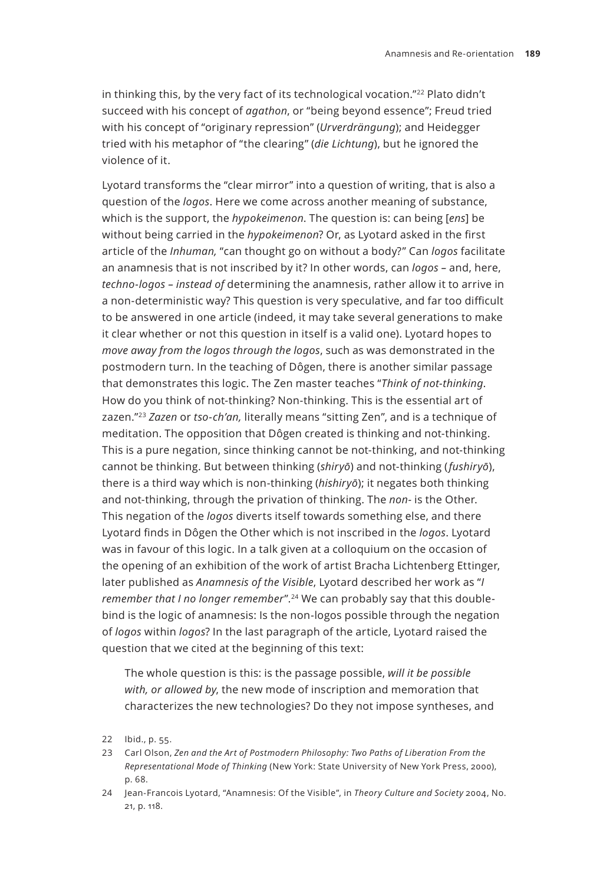in thinking this, by the very fact of its technological vocation."22 Plato didn't succeed with his concept of *agathon*, or "being beyond essence"; Freud tried with his concept of "originary repression" (*Urverdrängung*); and Heidegger tried with his metaphor of "the clearing" (*die Lichtung*), but he ignored the violence of it.

Lyotard transforms the "clear mirror" into a question of writing, that is also a question of the *logos*. Here we come across another meaning of substance, which is the support, the *hypokeimenon*. The question is: can being [*ens*] be without being carried in the *hypokeimenon*? Or, as Lyotard asked in the first article of the *Inhuman,* "can thought go on without a body?" Can *logos* facilitate an anamnesis that is not inscribed by it? In other words, can *logos –* and, here, *techno-logos – instead of* determining the anamnesis, rather allow it to arrive in a non-deterministic way? This question is very speculative, and far too difficult to be answered in one article (indeed, it may take several generations to make it clear whether or not this question in itself is a valid one). Lyotard hopes to *move away from the logos through the logos*, such as was demonstrated in the postmodern turn. In the teaching of Dôgen, there is another similar passage that demonstrates this logic. The Zen master teaches "*Think of not-thinking*. How do you think of not-thinking? Non-thinking. This is the essential art of zazen."23 *Zazen* or *tso-ch'an,* literally means "sitting Zen", and is a technique of meditation. The opposition that Dôgen created is thinking and not-thinking. This is a pure negation, since thinking cannot be not-thinking, and not-thinking cannot be thinking. But between thinking (*shiryō*) and not-thinking (*fushiryō*), there is a third way which is non-thinking (*hishiryō*); it negates both thinking and not-thinking, through the privation of thinking. The *non-* is the Other. This negation of the *logos* diverts itself towards something else, and there Lyotard finds in Dôgen the Other which is not inscribed in the *logos*. Lyotard was in favour of this logic. In a talk given at a colloquium on the occasion of the opening of an exhibition of the work of artist Bracha Lichtenberg Ettinger, later published as *Anamnesis of the Visible*, Lyotard described her work as "*I remember that I no longer remember*".24 We can probably say that this doublebind is the logic of anamnesis: Is the non-logos possible through the negation of *logos* within *logos*? In the last paragraph of the article, Lyotard raised the question that we cited at the beginning of this text:

The whole question is this: is the passage possible, *will it be possible with, or allowed by*, the new mode of inscription and memoration that characterizes the new technologies? Do they not impose syntheses, and

- 23 Carl Olson, *Zen and the Art of Postmodern Philosophy: Two Paths of Liberation From the Representational Mode of Thinking* (New York: State University of New York Press, 2000), p. 68.
- 24 Jean-Francois Lyotard, "Anamnesis: Of the Visible", in *Theory Culture and Society* 2004, No. 21, p. 118.

<sup>22</sup> Ibid., p. 55.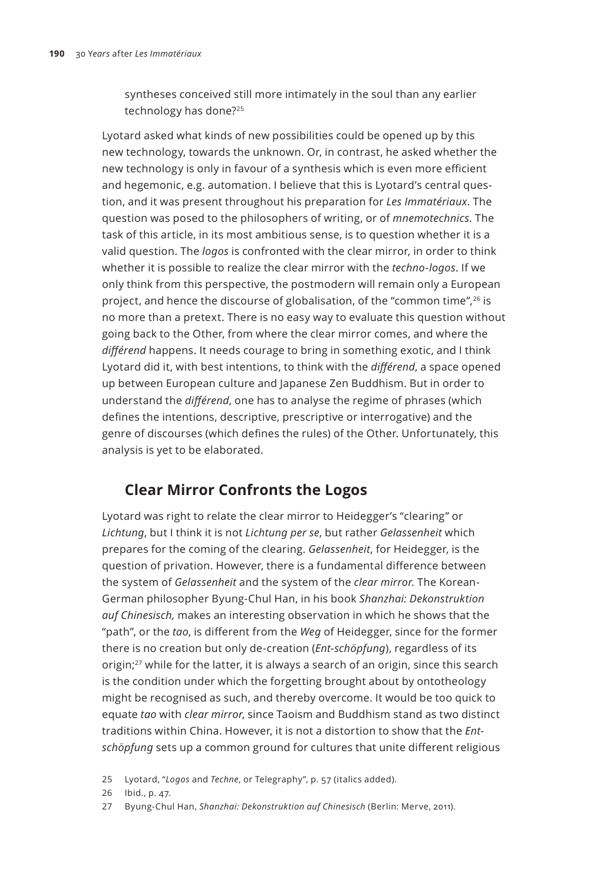syntheses conceived still more intimately in the soul than any earlier technology has done?<sup>25</sup>

Lyotard asked what kinds of new possibilities could be opened up by this new technology, towards the unknown. Or, in contrast, he asked whether the new technology is only in favour of a synthesis which is even more efficient and hegemonic, e.g. automation. I believe that this is Lyotard's central question, and it was present throughout his preparation for *Les Immatériaux*. The question was posed to the philosophers of writing, or of *mnemotechnics*. The task of this article, in its most ambitious sense, is to question whether it is a valid question. The *logos* is confronted with the clear mirror, in order to think whether it is possible to realize the clear mirror with the *techno-logos*. If we only think from this perspective, the postmodern will remain only a European project, and hence the discourse of globalisation, of the "common time", <sup>26</sup> is no more than a pretext. There is no easy way to evaluate this question without going back to the Other, from where the clear mirror comes, and where the *différend* happens. It needs courage to bring in something exotic, and I think Lyotard did it, with best intentions, to think with the *différend*, a space opened up between European culture and Japanese Zen Buddhism. But in order to understand the *différend*, one has to analyse the regime of phrases (which defines the intentions, descriptive, prescriptive or interrogative) and the genre of discourses (which defines the rules) of the Other. Unfortunately, this analysis is yet to be elaborated.

### **Clear Mirror Confronts the Logos**

Lyotard was right to relate the clear mirror to Heidegger's "clearing" or *Lichtung*, but I think it is not *Lichtung per se*, but rather *Gelassenheit* which prepares for the coming of the clearing. *Gelassenheit*, for Heidegger, is the question of privation. However, there is a fundamental difference between the system of *Gelassenheit* and the system of the *clear mirror*. The Korean-German philosopher Byung-Chul Han, in his book *Shanzhai: Dekonstruktion auf Chinesisch,* makes an interesting observation in which he shows that the "path", or the *tao*, is different from the *Weg* of Heidegger, since for the former there is no creation but only de-creation (*Ent-schöpfung*), regardless of its origin;27 while for the latter, it is always a search of an origin, since this search is the condition under which the forgetting brought about by ontotheology might be recognised as such, and thereby overcome. It would be too quick to equate *tao* with *clear mirror*, since Taoism and Buddhism stand as two distinct traditions within China. However, it is not a distortion to show that the *Entschöpfung* sets up a common ground for cultures that unite different religious

<sup>25</sup> Lyotard, "*Logos* and *Techne*, or Telegraphy ", p. 57 (italics added).

<sup>26</sup> Ibid., p. 47.

<sup>27</sup> Byung-Chul Han, *Shanzhai: Dekonstruktion auf Chinesisch* (Berlin: Merve, 2011).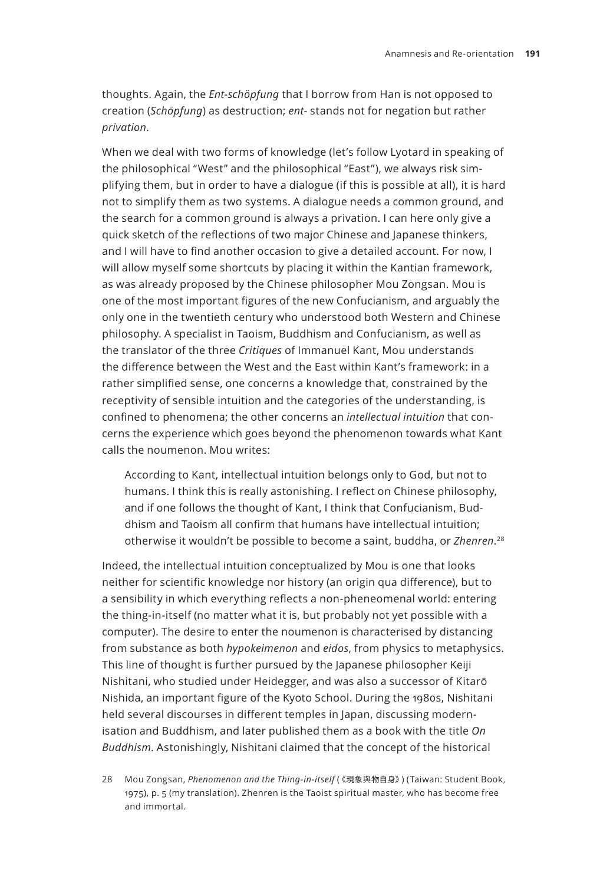thoughts. Again, the *Ent-schöpfung* that I borrow from Han is not opposed to creation (*Schöpfung*) as destruction; *ent*- stands not for negation but rather *privation*.

When we deal with two forms of knowledge (let's follow Lyotard in speaking of the philosophical "West" and the philosophical "East"), we always risk simplifying them, but in order to have a dialogue (if this is possible at all), it is hard not to simplify them as two systems. A dialogue needs a common ground, and the search for a common ground is always a privation. I can here only give a quick sketch of the reflections of two major Chinese and Japanese thinkers, and I will have to find another occasion to give a detailed account. For now, I will allow myself some shortcuts by placing it within the Kantian framework, as was already proposed by the Chinese philosopher Mou Zongsan. Mou is one of the most important figures of the new Confucianism, and arguably the only one in the twentieth century who understood both Western and Chinese philosophy. A specialist in Taoism, Buddhism and Confucianism, as well as the translator of the three *Critiques* of Immanuel Kant, Mou understands the difference between the West and the East within Kant's framework: in a rather simplified sense, one concerns a knowledge that, constrained by the receptivity of sensible intuition and the categories of the understanding, is confined to phenomena; the other concerns an *intellectual intuition* that concerns the experience which goes beyond the phenomenon towards what Kant calls the noumenon. Mou writes:

According to Kant, intellectual intuition belongs only to God, but not to humans. I think this is really astonishing. I reflect on Chinese philosophy, and if one follows the thought of Kant, I think that Confucianism, Buddhism and Taoism all confirm that humans have intellectual intuition; otherwise it wouldn't be possible to become a saint, buddha, or *Zhenren*. 28

Indeed, the intellectual intuition conceptualized by Mou is one that looks neither for scientific knowledge nor history (an origin qua difference), but to a sensibility in which everything reflects a non-pheneomenal world: entering the thing-in-itself (no matter what it is, but probably not yet possible with a computer). The desire to enter the noumenon is characterised by distancing from substance as both *hypokeimenon* and *eidos*, from physics to metaphysics. This line of thought is further pursued by the Japanese philosopher Keiji Nishitani, who studied under Heidegger, and was also a successor of Kitarō Nishida, an important figure of the Kyoto School. During the 1980s, Nishitani held several discourses in different temples in Japan, discussing modernisation and Buddhism, and later published them as a book with the title *On Buddhism*. Astonishingly, Nishitani claimed that the concept of the historical

<sup>28</sup> Mou Zongsan, *Phenomenon and the Thing-in-itself* (《現象與物自身》) (Taiwan: Student Book, 1975), p. 5 (my translation). Zhenren is the Taoist spiritual master, who has become free and immortal.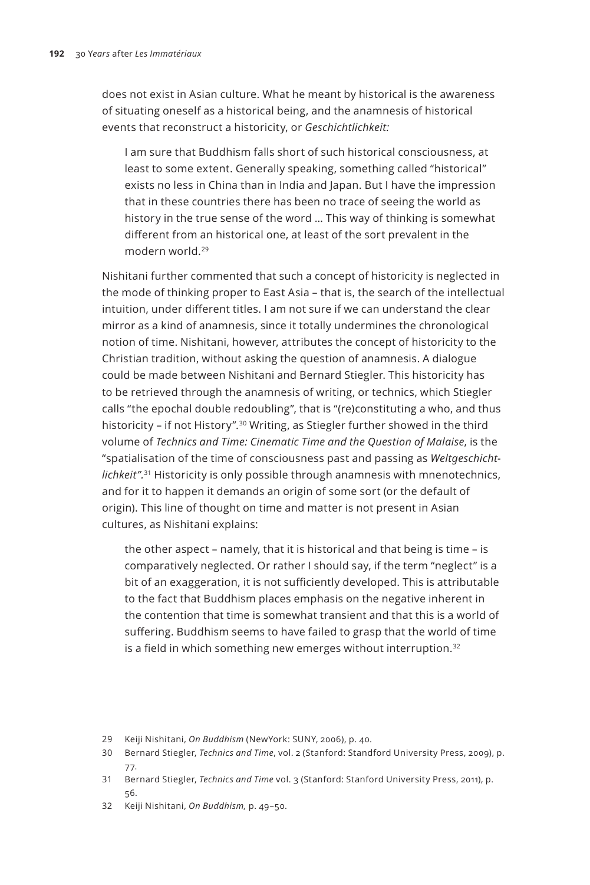does not exist in Asian culture. What he meant by historical is the awareness of situating oneself as a historical being, and the anamnesis of historical events that reconstruct a historicity, or *Geschichtlichkeit:*

I am sure that Buddhism falls short of such historical consciousness, at least to some extent. Generally speaking, something called "historical" exists no less in China than in India and Japan. But I have the impression that in these countries there has been no trace of seeing the world as history in the true sense of the word … This way of thinking is somewhat different from an historical one, at least of the sort prevalent in the modern world.29

Nishitani further commented that such a concept of historicity is neglected in the mode of thinking proper to East Asia – that is, the search of the intellectual intuition, under different titles. I am not sure if we can understand the clear mirror as a kind of anamnesis, since it totally undermines the chronological notion of time. Nishitani, however, attributes the concept of historicity to the Christian tradition, without asking the question of anamnesis. A dialogue could be made between Nishitani and Bernard Stiegler. This historicity has to be retrieved through the anamnesis of writing, or technics, which Stiegler calls "the epochal double redoubling", that is "(re)constituting a who, and thus historicity – if not History".<sup>30</sup> Writing, as Stiegler further showed in the third volume of *Technics and Time: Cinematic Time and the Question of Malaise*, is the "spatialisation of the time of consciousness past and passing as *Weltgeschichtlichkeit".*<sup>31</sup> Historicity is only possible through anamnesis with mnenotechnics, and for it to happen it demands an origin of some sort (or the default of origin). This line of thought on time and matter is not present in Asian cultures, as Nishitani explains:

the other aspect – namely, that it is historical and that being is time – is comparatively neglected. Or rather I should say, if the term "neglect" is a bit of an exaggeration, it is not sufficiently developed. This is attributable to the fact that Buddhism places emphasis on the negative inherent in the contention that time is somewhat transient and that this is a world of suffering. Buddhism seems to have failed to grasp that the world of time is a field in which something new emerges without interruption.<sup>32</sup>

- 29 Keiji Nishitani, *On Buddhism* (NewYork: SUNY, 2006), p. 40.
- 30 Bernard Stiegler, *Technics and Time*, vol. 2 (Stanford: Standford University Press, 2009), p. 77.
- 31 Bernard Stiegler, *Technics and Time* vol. 3 (Stanford: Stanford University Press, 2011), p. 56.
- 32 Keiji Nishitani, *On Buddhism,* p. 49–50.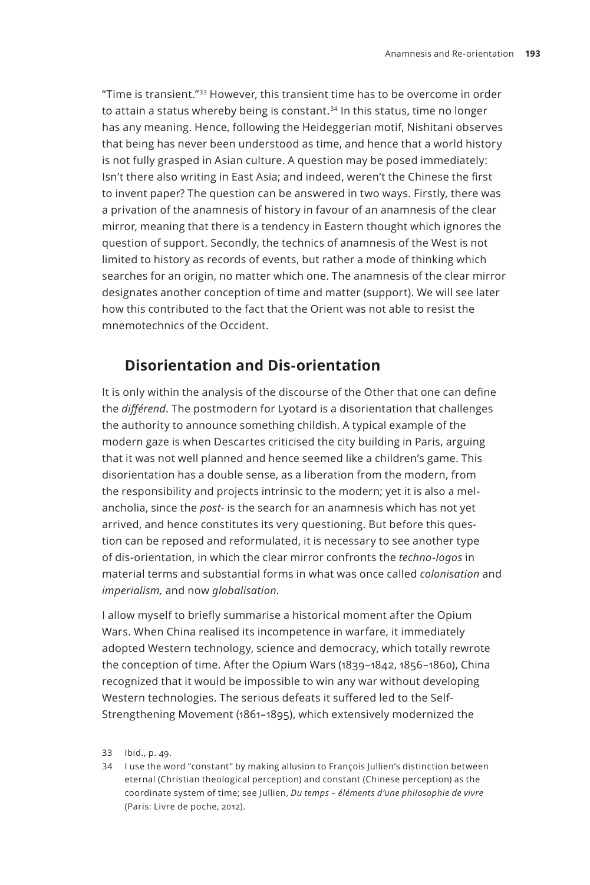"Time is transient."33 However, this transient time has to be overcome in order to attain a status whereby being is constant.<sup>34</sup> In this status, time no longer has any meaning. Hence, following the Heideggerian motif, Nishitani observes that being has never been understood as time, and hence that a world history is not fully grasped in Asian culture. A question may be posed immediately: Isn't there also writing in East Asia; and indeed, weren't the Chinese the first to invent paper? The question can be answered in two ways. Firstly, there was a privation of the anamnesis of history in favour of an anamnesis of the clear mirror, meaning that there is a tendency in Eastern thought which ignores the question of support. Secondly, the technics of anamnesis of the West is not limited to history as records of events, but rather a mode of thinking which searches for an origin, no matter which one. The anamnesis of the clear mirror designates another conception of time and matter (support). We will see later how this contributed to the fact that the Orient was not able to resist the mnemotechnics of the Occident.

#### **Disorientation and Dis-orientation**

It is only within the analysis of the discourse of the Other that one can define the *différend*. The postmodern for Lyotard is a disorientation that challenges the authority to announce something childish. A typical example of the modern gaze is when Descartes criticised the city building in Paris, arguing that it was not well planned and hence seemed like a children's game. This disorientation has a double sense, as a liberation from the modern, from the responsibility and projects intrinsic to the modern; yet it is also a melancholia, since the *post-* is the search for an anamnesis which has not yet arrived, and hence constitutes its very questioning. But before this question can be reposed and reformulated, it is necessary to see another type of dis-orientation, in which the clear mirror confronts the *techno-logos* in material terms and substantial forms in what was once called *colonisation* and *imperialism,* and now *globalisation*.

I allow myself to briefly summarise a historical moment after the Opium Wars. When China realised its incompetence in warfare, it immediately adopted Western technology, science and democracy, which totally rewrote the conception of time. After the Opium Wars (1839–1842, 1856–1860), China recognized that it would be impossible to win any war without developing Western technologies. The serious defeats it suffered led to the Self-Strengthening Movement (1861–1895), which extensively modernized the

<sup>33</sup> Ibid., p. 49.

<sup>34</sup> I use the word "constant" by making allusion to François Jullien's distinction between eternal (Christian theological perception) and constant (Chinese perception) as the coordinate system of time; see Jullien, *Du temps – éléments d'une philosophie de vivre* (Paris: Livre de poche, 2012).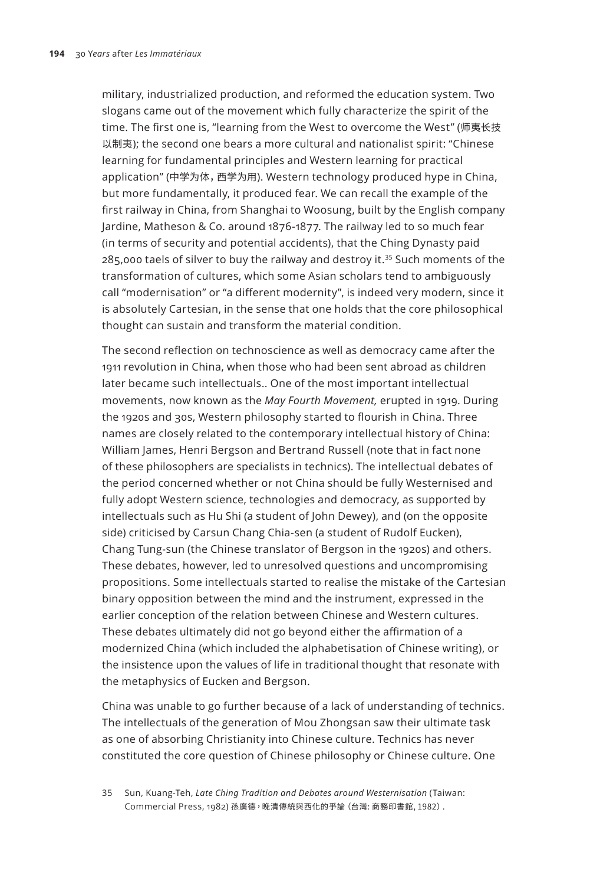military, industrialized production, and reformed the education system. Two slogans came out of the movement which fully characterize the spirit of the time. The first one is, "learning from the West to overcome the West" (师夷长技 以制夷); the second one bears a more cultural and nationalist spirit: "Chinese learning for fundamental principles and Western learning for practical application" (中学为体,西学为用). Western technology produced hype in China, but more fundamentally, it produced fear. We can recall the example of the first railway in China, from Shanghai to Woosung, built by the English company Jardine, Matheson & Co. around 1876-1877. The railway led to so much fear (in terms of security and potential accidents), that the Ching Dynasty paid  $285,000$  taels of silver to buy the railway and destroy it.<sup>35</sup> Such moments of the transformation of cultures, which some Asian scholars tend to ambiguously call "modernisation" or "a different modernity", is indeed very modern, since it is absolutely Cartesian, in the sense that one holds that the core philosophical thought can sustain and transform the material condition.

The second reflection on technoscience as well as democracy came after the 1911 revolution in China, when those who had been sent abroad as children later became such intellectuals.. One of the most important intellectual movements, now known as the *May Fourth Movement,* erupted in 1919. During the 1920s and 30s, Western philosophy started to flourish in China. Three names are closely related to the contemporary intellectual history of China: William James, Henri Bergson and Bertrand Russell (note that in fact none of these philosophers are specialists in technics). The intellectual debates of the period concerned whether or not China should be fully Westernised and fully adopt Western science, technologies and democracy, as supported by intellectuals such as Hu Shi (a student of John Dewey), and (on the opposite side) criticised by Carsun Chang Chia-sen (a student of Rudolf Eucken), Chang Tung-sun (the Chinese translator of Bergson in the 1920s) and others. These debates, however, led to unresolved questions and uncompromising propositions. Some intellectuals started to realise the mistake of the Cartesian binary opposition between the mind and the instrument, expressed in the earlier conception of the relation between Chinese and Western cultures. These debates ultimately did not go beyond either the affirmation of a modernized China (which included the alphabetisation of Chinese writing), or the insistence upon the values of life in traditional thought that resonate with the metaphysics of Eucken and Bergson.

China was unable to go further because of a lack of understanding of technics. The intellectuals of the generation of Mou Zhongsan saw their ultimate task as one of absorbing Christianity into Chinese culture. Technics has never constituted the core question of Chinese philosophy or Chinese culture. One

35 Sun, Kuang-Teh, *Late Ching Tradition and Debates around Westernisation* (Taiwan: Commercial Press, 1982) 孫廣德,晚清傳統與西化的爭論(台灣: 商務印書館, 1982).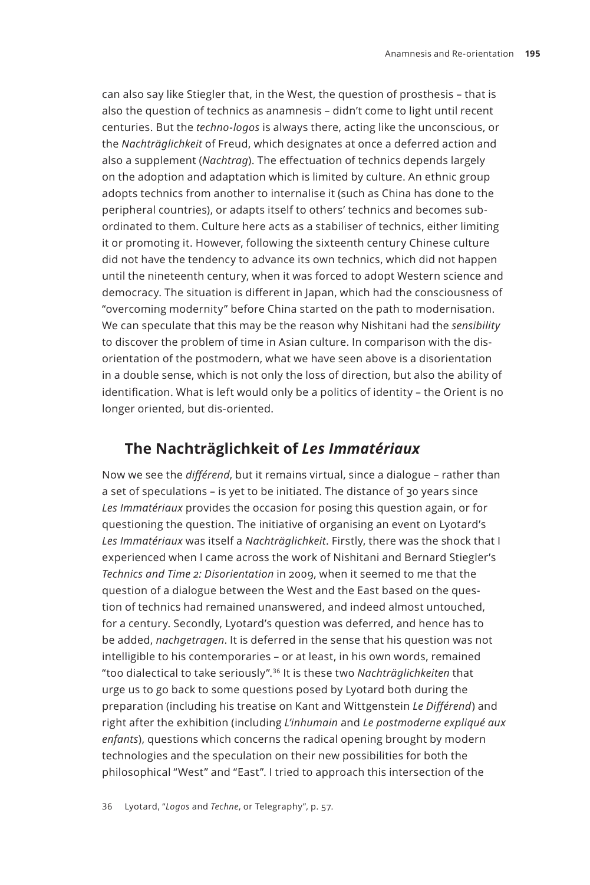can also say like Stiegler that, in the West, the question of prosthesis – that is also the question of technics as anamnesis – didn't come to light until recent centuries. But the *techno-logos* is always there, acting like the unconscious, or the *Nachträglichkeit* of Freud, which designates at once a deferred action and also a supplement (*Nachtrag*). The effectuation of technics depends largely on the adoption and adaptation which is limited by culture. An ethnic group adopts technics from another to internalise it (such as China has done to the peripheral countries), or adapts itself to others' technics and becomes subordinated to them. Culture here acts as a stabiliser of technics, either limiting it or promoting it. However, following the sixteenth century Chinese culture did not have the tendency to advance its own technics, which did not happen until the nineteenth century, when it was forced to adopt Western science and democracy. The situation is different in Japan, which had the consciousness of "overcoming modernity" before China started on the path to modernisation. We can speculate that this may be the reason why Nishitani had the *sensibility* to discover the problem of time in Asian culture. In comparison with the disorientation of the postmodern, what we have seen above is a disorientation in a double sense, which is not only the loss of direction, but also the ability of identification. What is left would only be a politics of identity – the Orient is no longer oriented, but dis-oriented.

#### **The Nachträglichkeit of** *Les Immatériaux*

Now we see the *différend*, but it remains virtual, since a dialogue – rather than a set of speculations – is yet to be initiated. The distance of 30 years since *Les Immatériaux* provides the occasion for posing this question again, or for questioning the question. The initiative of organising an event on Lyotard's *Les Immatériaux* was itself a *Nachträglichkeit*. Firstly, there was the shock that I experienced when I came across the work of Nishitani and Bernard Stiegler's *Technics and Time 2: Disorientation* in 2009, when it seemed to me that the question of a dialogue between the West and the East based on the question of technics had remained unanswered, and indeed almost untouched, for a century. Secondly, Lyotard's question was deferred, and hence has to be added, *nachgetragen*. It is deferred in the sense that his question was not intelligible to his contemporaries – or at least, in his own words, remained "too dialectical to take seriously".36 It is these two *Nachträglichkeiten* that urge us to go back to some questions posed by Lyotard both during the preparation (including his treatise on Kant and Wittgenstein *Le Différend*) and right after the exhibition (including *L'inhumain* and *Le postmoderne expliqué aux enfants*), questions which concerns the radical opening brought by modern technologies and the speculation on their new possibilities for both the philosophical "West" and "East". I tried to approach this intersection of the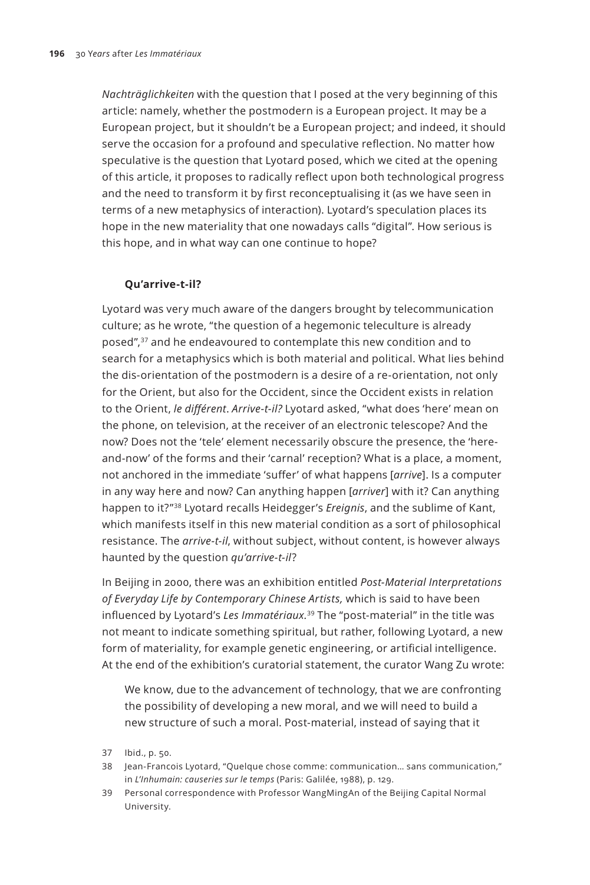*Nachträglichkeiten* with the question that I posed at the very beginning of this article: namely, whether the postmodern is a European project. It may be a European project, but it shouldn't be a European project; and indeed, it should serve the occasion for a profound and speculative reflection. No matter how speculative is the question that Lyotard posed, which we cited at the opening of this article, it proposes to radically reflect upon both technological progress and the need to transform it by first reconceptualising it (as we have seen in terms of a new metaphysics of interaction). Lyotard's speculation places its hope in the new materiality that one nowadays calls "digital". How serious is this hope, and in what way can one continue to hope?

#### **Qu'arrive-t-il?**

Lyotard was very much aware of the dangers brought by telecommunication culture; as he wrote, "the question of a hegemonic teleculture is already posed",37 and he endeavoured to contemplate this new condition and to search for a metaphysics which is both material and political. What lies behind the dis-orientation of the postmodern is a desire of a re-orientation, not only for the Orient, but also for the Occident, since the Occident exists in relation to the Orient, *le différent*. *Arrive-t-il?* Lyotard asked, "what does 'here' mean on the phone, on television, at the receiver of an electronic telescope? And the now? Does not the 'tele' element necessarily obscure the presence, the 'hereand-now' of the forms and their 'carnal' reception? What is a place, a moment, not anchored in the immediate 'suffer' of what happens [*arrive*]. Is a computer in any way here and now? Can anything happen [*arriver*] with it? Can anything happen to it?"38 Lyotard recalls Heidegger's *Ereignis*, and the sublime of Kant, which manifests itself in this new material condition as a sort of philosophical resistance. The *arrive-t-il*, without subject, without content, is however always haunted by the question *qu'arrive-t-il*?

In Beijing in 2000, there was an exhibition entitled *Post-Material Interpretations of Everyday Life by Contemporary Chinese Artists,* which is said to have been influenced by Lyotard's *Les Immatériaux.*<sup>39</sup> The "post-material" in the title was not meant to indicate something spiritual, but rather, following Lyotard, a new form of materiality, for example genetic engineering, or artificial intelligence. At the end of the exhibition's curatorial statement, the curator Wang Zu wrote:

We know, due to the advancement of technology, that we are confronting the possibility of developing a new moral, and we will need to build a new structure of such a moral. Post-material, instead of saying that it

- 38 Jean-Francois Lyotard, "Quelque chose comme: communication… sans communication," in *L'Inhumain: causeries sur le temps* (Paris: Galilée, 1988), p. 129.
- 39 Personal correspondence with Professor WangMingAn of the Beijing Capital Normal University.

<sup>37</sup> Ibid., p. 50.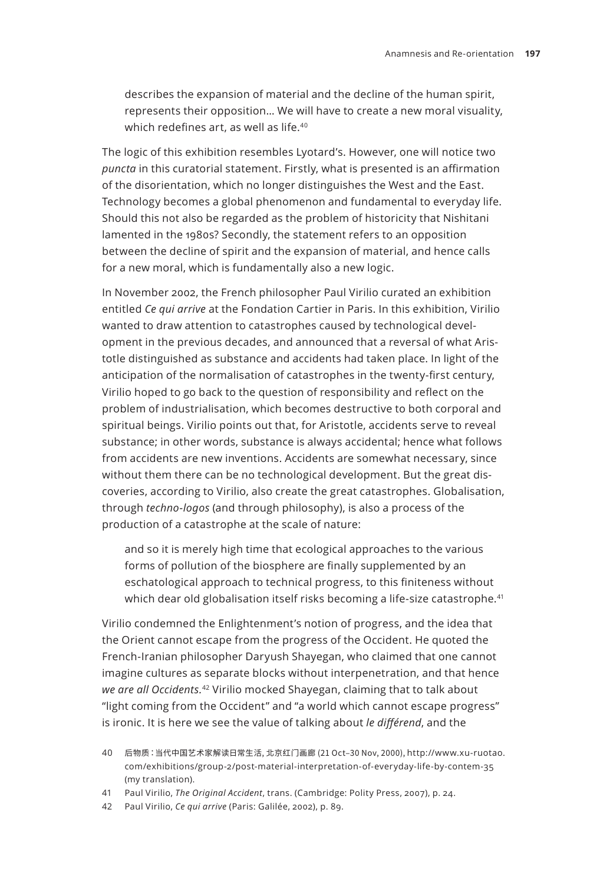describes the expansion of material and the decline of the human spirit, represents their opposition… We will have to create a new moral visuality, which redefines art, as well as life.<sup>40</sup>

The logic of this exhibition resembles Lyotard's. However, one will notice two *puncta* in this curatorial statement. Firstly, what is presented is an affirmation of the disorientation, which no longer distinguishes the West and the East. Technology becomes a global phenomenon and fundamental to everyday life. Should this not also be regarded as the problem of historicity that Nishitani lamented in the 1980s? Secondly, the statement refers to an opposition between the decline of spirit and the expansion of material, and hence calls for a new moral, which is fundamentally also a new logic.

In November 2002, the French philosopher Paul Virilio curated an exhibition entitled *Ce qui arrive* at the Fondation Cartier in Paris. In this exhibition, Virilio wanted to draw attention to catastrophes caused by technological development in the previous decades, and announced that a reversal of what Aristotle distinguished as substance and accidents had taken place. In light of the anticipation of the normalisation of catastrophes in the twenty-first century, Virilio hoped to go back to the question of responsibility and reflect on the problem of industrialisation, which becomes destructive to both corporal and spiritual beings. Virilio points out that, for Aristotle, accidents serve to reveal substance; in other words, substance is always accidental; hence what follows from accidents are new inventions. Accidents are somewhat necessary, since without them there can be no technological development. But the great discoveries, according to Virilio, also create the great catastrophes. Globalisation, through *techno-logos* (and through philosophy), is also a process of the production of a catastrophe at the scale of nature:

and so it is merely high time that ecological approaches to the various forms of pollution of the biosphere are finally supplemented by an eschatological approach to technical progress, to this finiteness without which dear old globalisation itself risks becoming a life-size catastrophe.<sup>41</sup>

Virilio condemned the Enlightenment's notion of progress, and the idea that the Orient cannot escape from the progress of the Occident. He quoted the French-Iranian philosopher Daryush Shayegan, who claimed that one cannot imagine cultures as separate blocks without interpenetration, and that hence *we are all Occidents.*<sup>42</sup> Virilio mocked Shayegan, claiming that to talk about "light coming from the Occident" and "a world which cannot escape progress" is ironic. It is here we see the value of talking about *le différend*, and the

- 40 后物质:当代中国艺术家解读日常生活, 北京红门画廊 (21 Oct–30 Nov, 2000), http://www.xu-ruotao. [com/exhibitions/group-2/post-material-interpretation-of-everyday-life-by-contem-35](http://www.xu-ruotao.com/exhibitions/group-2/post-material-interpretation-of-everyday-life-by-contem-35) (my translation).
- 41 Paul Virilio, *The Original Accident*, trans. (Cambridge: Polity Press, 2007), p. 24.
- 42 Paul Virilio, *Ce qui arrive* (Paris: Galilée, 2002), p. 89.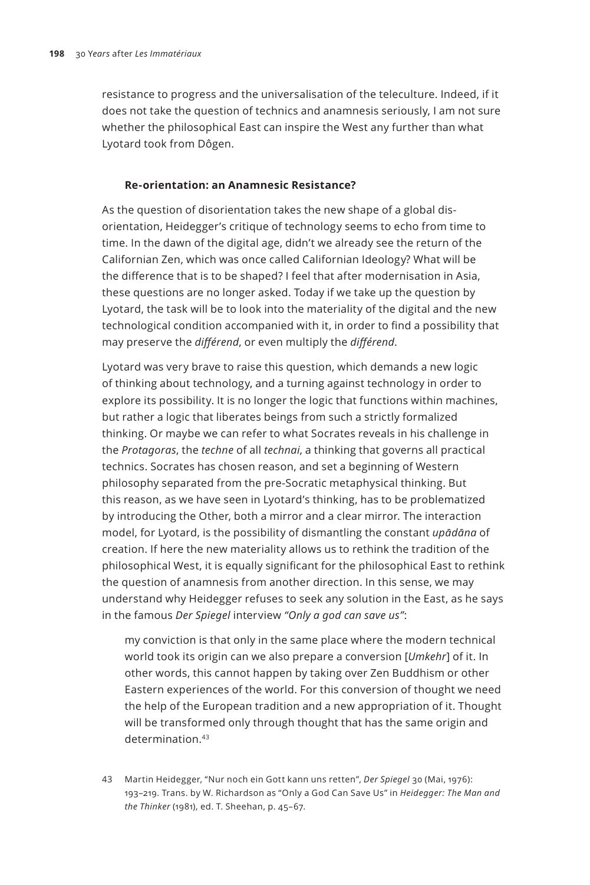resistance to progress and the universalisation of the teleculture. Indeed, if it does not take the question of technics and anamnesis seriously, I am not sure whether the philosophical East can inspire the West any further than what Lyotard took from Dôgen.

#### **Re-orientation: an Anamnesic Resistance?**

As the question of disorientation takes the new shape of a global disorientation, Heidegger's critique of technology seems to echo from time to time. In the dawn of the digital age, didn't we already see the return of the Californian Zen, which was once called Californian Ideology? What will be the difference that is to be shaped? I feel that after modernisation in Asia, these questions are no longer asked. Today if we take up the question by Lyotard, the task will be to look into the materiality of the digital and the new technological condition accompanied with it, in order to find a possibility that may preserve the *différend*, or even multiply the *différend*.

Lyotard was very brave to raise this question, which demands a new logic of thinking about technology, and a turning against technology in order to explore its possibility. It is no longer the logic that functions within machines, but rather a logic that liberates beings from such a strictly formalized thinking. Or maybe we can refer to what Socrates reveals in his challenge in the *Protagoras*, the *techne* of all *technai*, a thinking that governs all practical technics. Socrates has chosen reason, and set a beginning of Western philosophy separated from the pre-Socratic metaphysical thinking. But this reason, as we have seen in Lyotard's thinking, has to be problematized by introducing the Other, both a mirror and a clear mirror. The interaction model, for Lyotard, is the possibility of dismantling the constant *upādāna* of creation. If here the new materiality allows us to rethink the tradition of the philosophical West, it is equally significant for the philosophical East to rethink the question of anamnesis from another direction. In this sense, we may understand why Heidegger refuses to seek any solution in the East, as he says in the famous *Der Spiegel* interview *"Only a god can save us"*:

my conviction is that only in the same place where the modern technical world took its origin can we also prepare a conversion [*Umkehr*] of it. In other words, this cannot happen by taking over Zen Buddhism or other Eastern experiences of the world. For this conversion of thought we need the help of the European tradition and a new appropriation of it. Thought will be transformed only through thought that has the same origin and determination 43

43 Martin Heidegger, "Nur noch ein Gott kann uns retten", *Der Spiegel* 30 (Mai, 1976): 193–219. Trans. by W. Richardson as "Only a God Can Save Us" in *Heidegger: The Man and the Thinker* (1981), ed. T. Sheehan, p. 45–67.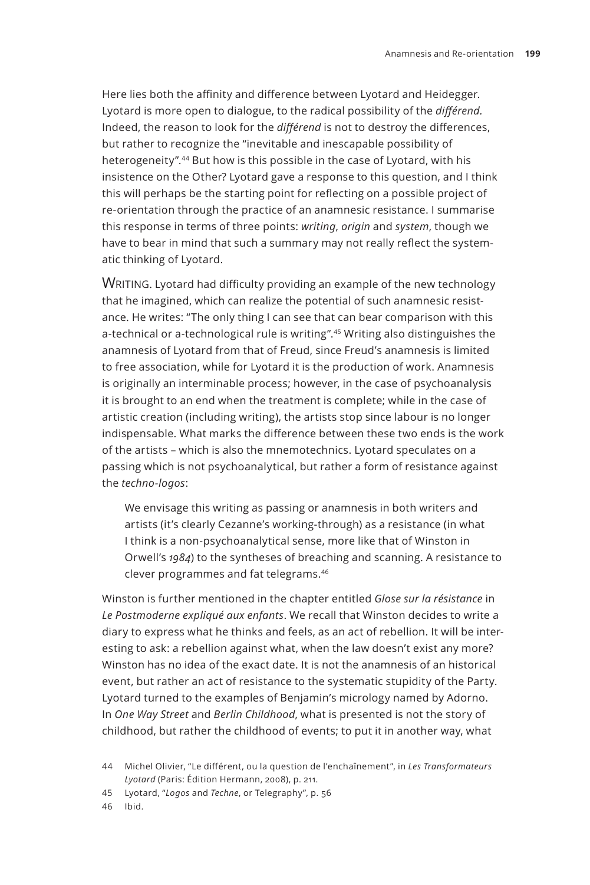Here lies both the affinity and difference between Lyotard and Heidegger. Lyotard is more open to dialogue, to the radical possibility of the *différend.* Indeed, the reason to look for the *différend* is not to destroy the differences, but rather to recognize the "inevitable and inescapable possibility of heterogeneity".<sup>44</sup> But how is this possible in the case of Lyotard, with his insistence on the Other? Lyotard gave a response to this question, and I think this will perhaps be the starting point for reflecting on a possible project of re-orientation through the practice of an anamnesic resistance. I summarise this response in terms of three points: *writing*, *origin* and *system*, though we have to bear in mind that such a summary may not really reflect the systematic thinking of Lyotard.

WRITING. Lyotard had difficulty providing an example of the new technology that he imagined, which can realize the potential of such anamnesic resistance. He writes: "The only thing I can see that can bear comparison with this a-technical or a-technological rule is writing".<sup>45</sup> Writing also distinguishes the anamnesis of Lyotard from that of Freud, since Freud's anamnesis is limited to free association, while for Lyotard it is the production of work. Anamnesis is originally an interminable process; however, in the case of psychoanalysis it is brought to an end when the treatment is complete; while in the case of artistic creation (including writing), the artists stop since labour is no longer indispensable. What marks the difference between these two ends is the work of the artists – which is also the mnemotechnics. Lyotard speculates on a passing which is not psychoanalytical, but rather a form of resistance against the *techno-logos*:

We envisage this writing as passing or anamnesis in both writers and artists (it's clearly Cezanne's working-through) as a resistance (in what I think is a non-psychoanalytical sense, more like that of Winston in Orwell's *1984*) to the syntheses of breaching and scanning. A resistance to clever programmes and fat telegrams.46

Winston is further mentioned in the chapter entitled *Glose sur la résistance* in *Le Postmoderne expliqué aux enfants*. We recall that Winston decides to write a diary to express what he thinks and feels, as an act of rebellion. It will be interesting to ask: a rebellion against what, when the law doesn't exist any more? Winston has no idea of the exact date. It is not the anamnesis of an historical event, but rather an act of resistance to the systematic stupidity of the Party. Lyotard turned to the examples of Benjamin's micrology named by Adorno. In *One Way Street* and *Berlin Childhood*, what is presented is not the story of childhood, but rather the childhood of events; to put it in another way, what

<sup>44</sup> Michel Olivier, "Le différent, ou la question de l'enchaînement ", in *Les Transformateurs Lyotard* (Paris: Édition Hermann, 2008), p. 211.

<sup>45</sup> Lyotard, "*Logos* and *Techne*, or Telegraphy ", p. 56

<sup>46</sup> Ibid.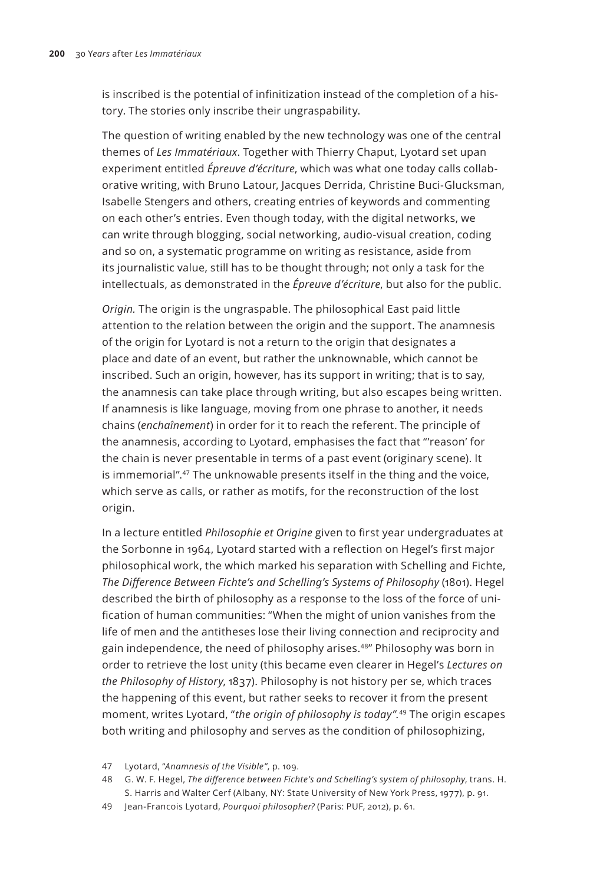is inscribed is the potential of infinitization instead of the completion of a history. The stories only inscribe their ungraspability.

The question of writing enabled by the new technology was one of the central themes of *Les Immatériaux*. Together with Thierry Chaput, Lyotard set upan experiment entitled *Épreuve d'écriture*, which was what one today calls collaborative writing, with Bruno Latour, Jacques Derrida, Christine Buci-Glucksman, Isabelle Stengers and others, creating entries of keywords and commenting on each other's entries. Even though today, with the digital networks, we can write through blogging, social networking, audio-visual creation, coding and so on, a systematic programme on writing as resistance, aside from its journalistic value, still has to be thought through; not only a task for the intellectuals, as demonstrated in the *Épreuve d'écriture*, but also for the public.

*Origin.* The origin is the ungraspable. The philosophical East paid little attention to the relation between the origin and the support. The anamnesis of the origin for Lyotard is not a return to the origin that designates a place and date of an event, but rather the unknownable, which cannot be inscribed. Such an origin, however, has its support in writing; that is to say, the anamnesis can take place through writing, but also escapes being written. If anamnesis is like language, moving from one phrase to another, it needs chains (*enchaînement*) in order for it to reach the referent. The principle of the anamnesis, according to Lyotard, emphasises the fact that "'reason' for the chain is never presentable in terms of a past event (originary scene). It is immemorial".<sup>47</sup> The unknowable presents itself in the thing and the voice, which serve as calls, or rather as motifs, for the reconstruction of the lost origin.

In a lecture entitled *Philosophie et Origine* given to first year undergraduates at the Sorbonne in 1964, Lyotard started with a reflection on Hegel's first major philosophical work, the which marked his separation with Schelling and Fichte, *The Difference Between Fichte's and Schelling's Systems of Philosophy* (1801). Hegel described the birth of philosophy as a response to the loss of the force of unification of human communities: "When the might of union vanishes from the life of men and the antitheses lose their living connection and reciprocity and gain independence, the need of philosophy arises.<sup>48"</sup> Philosophy was born in order to retrieve the lost unity (this became even clearer in Hegel's *Lectures on the Philosophy of History*, 1837). Philosophy is not history per se, which traces the happening of this event, but rather seeks to recover it from the present moment, writes Lyotard, "*the origin of philosophy is today".*<sup>49</sup> The origin escapes both writing and philosophy and serves as the condition of philosophizing,

- 47 Lyotard, "*Anamnesis of the Visible"*, p. 109.
- 48 G. W. F. Hegel, *The difference between Fichte's and Schelling's system of philosophy*, trans. H. S. Harris and Walter Cerf (Albany, NY: State University of New York Press, 1977), p. 91.
- 49 Jean-Francois Lyotard, *Pourquoi philosopher?* (Paris: PUF, 2012), p. 61.